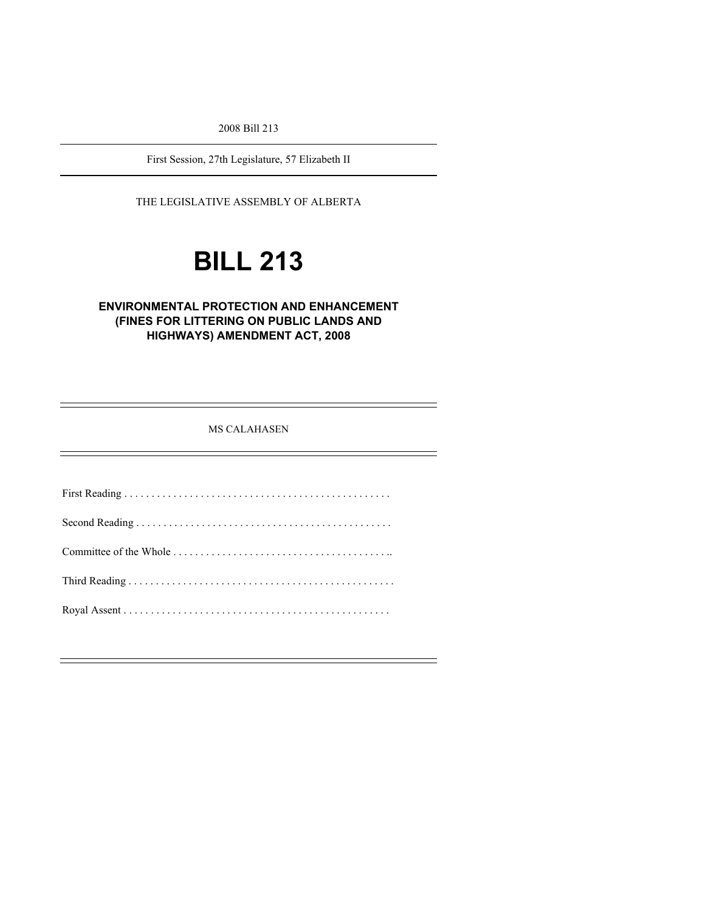2008 Bill 213

First Session, 27th Legislature, 57 Elizabeth II

THE LEGISLATIVE ASSEMBLY OF ALBERTA

# **BILL 213**

#### **ENVIRONMENTAL PROTECTION AND ENHANCEMENT (FINES FOR LITTERING ON PUBLIC LANDS AND HIGHWAYS) AMENDMENT ACT, 2008**

MS CALAHASEN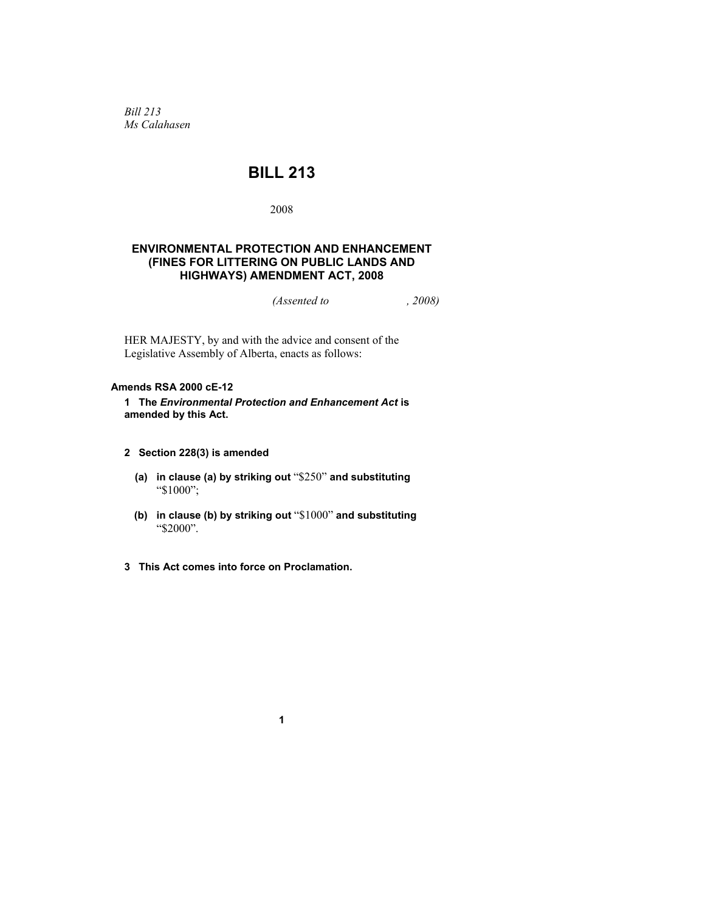*Bill 213 Ms Calahasen* 

### **BILL 213**

2008

#### **ENVIRONMENTAL PROTECTION AND ENHANCEMENT (FINES FOR LITTERING ON PUBLIC LANDS AND HIGHWAYS) AMENDMENT ACT, 2008**

*(Assented to , 2008)* 

HER MAJESTY, by and with the advice and consent of the Legislative Assembly of Alberta, enacts as follows:

#### **Amends RSA 2000 cE-12**

**1 The** *Environmental Protection and Enhancement Act* **is amended by this Act.** 

- **2 Section 228(3) is amended** 
	- **(a) in clause (a) by striking out** "\$250" **and substituting**  "\$1000";
	- **(b) in clause (b) by striking out** "\$1000" **and substituting**  "\$2000".
- **3 This Act comes into force on Proclamation.**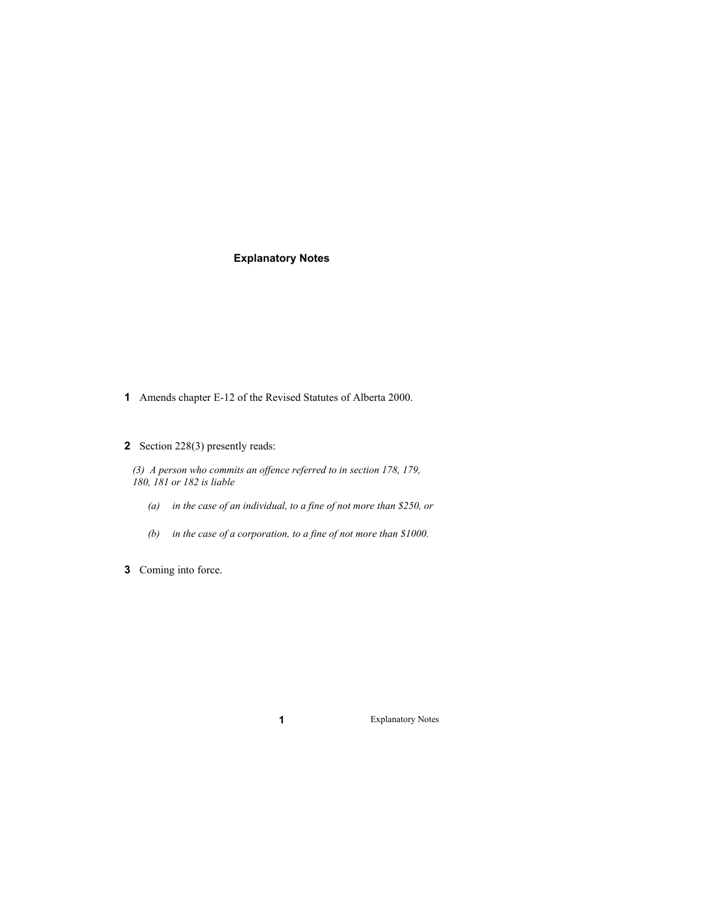#### **Explanatory Notes**

- **1** Amends chapter E-12 of the Revised Statutes of Alberta 2000.
- **2** Section 228(3) presently reads:

*(3) A person who commits an offence referred to in section 178, 179, 180, 181 or 182 is liable* 

- *(a) in the case of an individual, to a fine of not more than \$250, or*
- *(b) in the case of a corporation, to a fine of not more than \$1000.*
- **3** Coming into force.